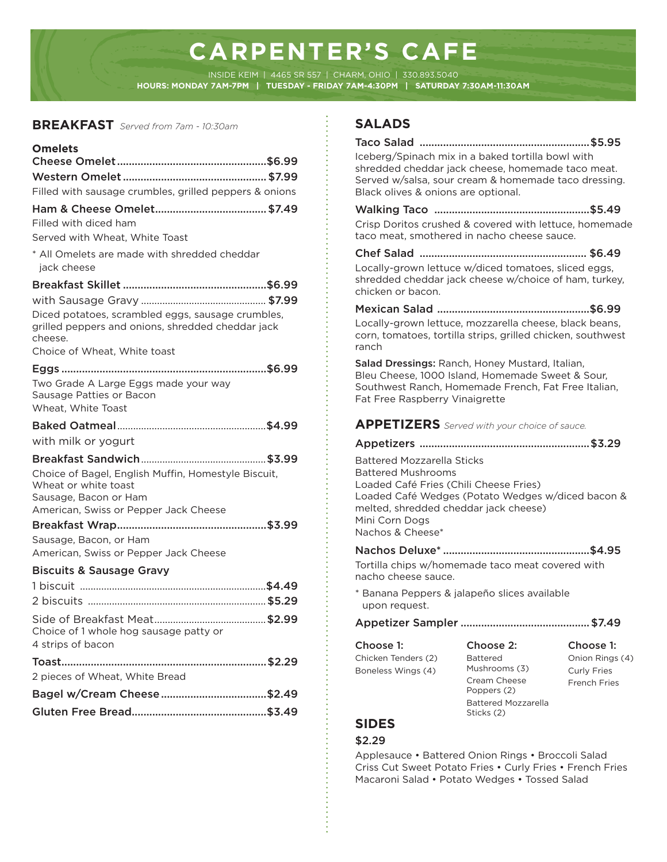# **CARPENTER'S CAFE**

INSIDE KEIM | 4465 SR 557 | CHARM, OHIO | 330.893.5040 **HOURS: MONDAY 7AM-7PM | TUESDAY - FRIDAY 7AM-4:30PM | SATURDAY 7:30AM-11:30AM**

#### **BREAKFAST** *Served from 7am - 10:30am*

#### **Omelets** Cheese Omelet ...................................................\$6.99 Western Omelet .................................................\$7.99 Filled with sausage crumbles, grilled peppers & onions Ham & Cheese Omelet ......................................\$7.49 Filled with diced ham Served with Wheat, White Toast \* All Omelets are made with shredded cheddar jack cheese Breakfast Skillet .................................................\$6.99 with Sausage Gravy ............................................... \$7.99 Diced potatoes, scrambled eggs, sausage crumbles, grilled peppers and onions, shredded cheddar jack cheese. Choice of Wheat, White toast Eggs ......................................................................\$6.99 Two Grade A Large Eggs made your way Sausage Patties or Bacon Wheat, White Toast Baked Oatmeal ........................................................\$4.99 with milk or yogurt Breakfast Sandwich ...............................................\$3.99 Choice of Bagel, English Muffin, Homestyle Biscuit, Wheat or white toast Sausage, Bacon or Ham American, Swiss or Pepper Jack Cheese Breakfast Wrap ...................................................\$3.99 Sausage, Bacon, or Ham American, Swiss or Pepper Jack Cheese Biscuits & Sausage Gravy 1 biscuit ......................................................................\$4.49 2 biscuits ...................................................................\$5.29 Side of Breakfast Meat ..........................................\$2.99 Choice of 1 whole hog sausage patty or 4 strips of bacon Toast ......................................................................\$2.29 2 pieces of Wheat, White Bread Bagel w/Cream Cheese ....................................\$2.49

# Gluten Free Bread..............................................\$3.49

# **SALADS**

Taco Salad ..........................................................\$5.95 Iceberg/Spinach mix in a baked tortilla bowl with shredded cheddar jack cheese, homemade taco meat. Served w/salsa, sour cream & homemade taco dressing. Black olives & onions are optional. Walking Taco .....................................................\$5.49 Crisp Doritos crushed & covered with lettuce, homemade taco meat, smothered in nacho cheese sauce. Chef Salad ......................................................... \$6.49 Locally-grown lettuce w/diced tomatoes, sliced eggs, shredded cheddar jack cheese w/choice of ham, turkey, chicken or bacon. Mexican Salad ....................................................\$6.99 Locally-grown lettuce, mozzarella cheese, black beans, corn, tomatoes, tortilla strips, grilled chicken, southwest ranch Salad Dressings: Ranch, Honey Mustard, Italian, Bleu Cheese, 1000 Island, Homemade Sweet & Sour, Southwest Ranch, Homemade French, Fat Free Italian, Fat Free Raspberry Vinaigrette Nachos Deluxe\* ..................................................\$4.95 Tortilla chips w/homemade taco meat covered with nacho cheese sauce. \* Banana Peppers & jalapeño slices available upon request. Appetizer Sampler ............................................\$7.49 **APPETIZERS** *Served with your choice of sauce.* Appetizers ..........................................................\$3.29 Battered Mozzarella Sticks Battered Mushrooms Loaded Café Fries (Chili Cheese Fries) Loaded Café Wedges (Potato Wedges w/diced bacon & melted, shredded cheddar jack cheese) Mini Corn Dogs Nachos & Cheese\* Choose 1: Chicken Tenders (2) Boneless Wings (4) Choose 2: Battered Mushrooms (3) Cream Cheese Poppers (2) Battered Mozzarella Choose 1: Onion Rings (4) Curly Fries Franch Fries

# **SIDES**

### \$2.29

Applesauce • Battered Onion Rings • Broccoli Salad Criss Cut Sweet Potato Fries • Curly Fries • French Fries Macaroni Salad • Potato Wedges • Tossed Salad

Sticks (2)